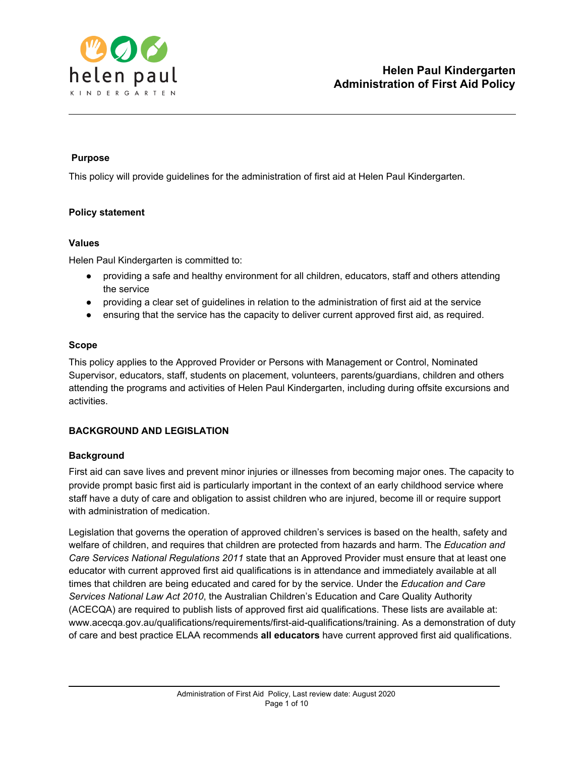

# **Purpose**

This policy will provide guidelines for the administration of first aid at Helen Paul Kindergarten.

# **Policy statement**

### **Values**

Helen Paul Kindergarten is committed to:

- providing a safe and healthy environment for all children, educators, staff and others attending the service
- providing a clear set of guidelines in relation to the administration of first aid at the service
- ensuring that the service has the capacity to deliver current approved first aid, as required.

# **Scope**

This policy applies to the Approved Provider or Persons with Management or Control, Nominated Supervisor, educators, staff, students on placement, volunteers, parents/guardians, children and others attending the programs and activities of Helen Paul Kindergarten, including during offsite excursions and activities.

# **BACKGROUND AND LEGISLATION**

# **Background**

First aid can save lives and prevent minor injuries or illnesses from becoming major ones. The capacity to provide prompt basic first aid is particularly important in the context of an early childhood service where staff have a duty of care and obligation to assist children who are injured, become ill or require support with administration of medication.

Legislation that governs the operation of approved children's services is based on the health, safety and welfare of children, and requires that children are protected from hazards and harm. The *Education and Care Services National Regulations 2011* state that an Approved Provider must ensure that at least one educator with current approved first aid qualifications is in attendance and immediately available at all times that children are being educated and cared for by the service. Under the *Education and Care Services National Law Act 2010*, the Australian Children's Education and Care Quality Authority (ACECQA) are required to publish lists of approved first aid qualifications. These lists are available at: www.acecqa.gov.au/qualifications/requirements/first-aid-qualifications/training. As a demonstration of duty of care and best practice ELAA recommends **all educators** have current approved first aid qualifications.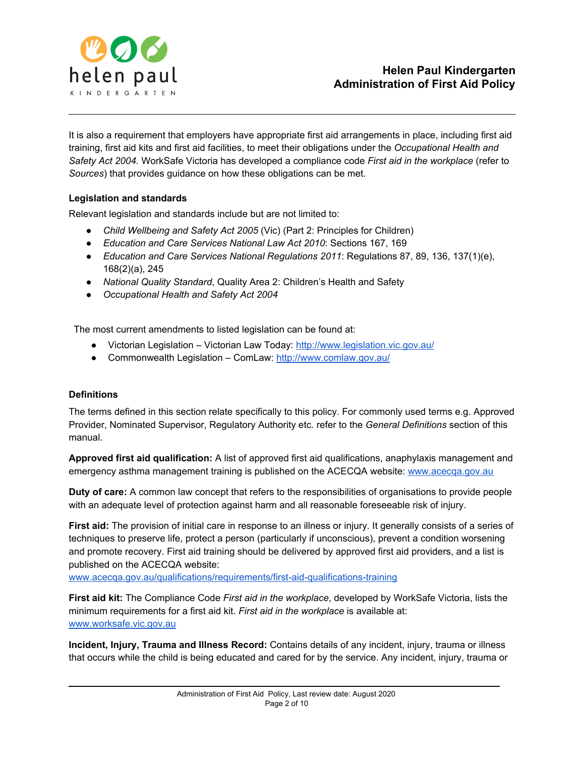

It is also a requirement that employers have appropriate first aid arrangements in place, including first aid training, first aid kits and first aid facilities, to meet their obligations under the *Occupational Health and Safety Act 2004.* WorkSafe Victoria has developed a compliance code *First aid in the workplace* (refer to *Sources*) that provides guidance on how these obligations can be met.

# **Legislation and standards**

Relevant legislation and standards include but are not limited to:

- *Child Wellbeing and Safety Act 2005* (Vic) (Part 2: Principles for Children)
- *Education and Care Services National Law Act 2010*: Sections 167, 169
- *Education and Care Services National Regulations 2011*: Regulations 87, 89, 136, 137(1)(e), 168(2)(a), 245
- *National Quality Standard*, Quality Area 2: Children's Health and Safety
- *● Occupational Health and Safety Act 2004*

The most current amendments to listed legislation can be found at:

- Victorian Legislation Victorian Law Today: <http://www.legislation.vic.gov.au/>
- Commonwealth Legislation ComLaw: <http://www.comlaw.gov.au/>

#### **Definitions**

The terms defined in this section relate specifically to this policy. For commonly used terms e.g. Approved Provider, Nominated Supervisor, Regulatory Authority etc. refer to the *General Definitions* section of this manual.

**Approved first aid qualification:** A list of approved first aid qualifications, anaphylaxis management and emergency asthma management training is published on the ACECQA website[:](http://www.acecqa.gov.au/) [www.acecqa.gov.au](http://www.acecqa.gov.au/)

**Duty of care:** A common law concept that refers to the responsibilities of organisations to provide people with an adequate level of protection against harm and all reasonable foreseeable risk of injury.

**First aid:** The provision of initial care in response to an illness or injury. It generally consists of a series of techniques to preserve life, protect a person (particularly if unconscious), prevent a condition worsening and promote recovery. First aid training should be delivered by approved first aid providers, and a list is published on the ACECQA website:

[www.acecqa.gov.au/qualifications/requirements/first-aid-qualifications-training](http://www.acecqa.gov.au/qualifications/requirements/first-aid-qualifications-training)

**First aid kit:** The Compliance Code *First aid in the workplace*, developed by WorkSafe Victoria, lists the minimum requirements for a first aid kit. *First aid in the workplace* is available at: [www.worksafe.vic.gov.au](http://www.worksafe.vic.gov.au/)

**Incident, Injury, Trauma and Illness Record:** Contains details of any incident, injury, trauma or illness that occurs while the child is being educated and cared for by the service. Any incident, injury, trauma or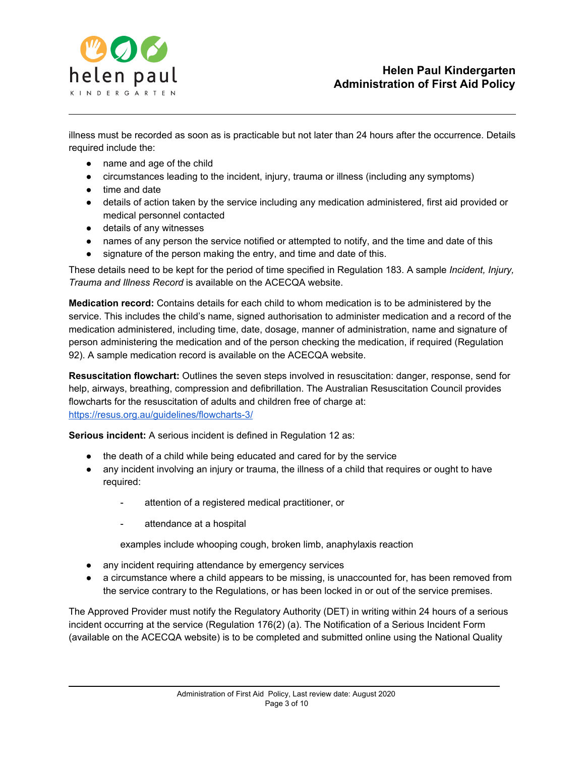

illness must be recorded as soon as is practicable but not later than 24 hours after the occurrence. Details required include the:

- name and age of the child
- circumstances leading to the incident, injury, trauma or illness (including any symptoms)
- time and date
- details of action taken by the service including any medication administered, first aid provided or medical personnel contacted
- details of any witnesses
- names of any person the service notified or attempted to notify, and the time and date of this
- signature of the person making the entry, and time and date of this.

These details need to be kept for the period of time specified in Regulation 183. A sample *Incident, Injury, Trauma and Illness Record* is available on the ACECQA website.

**Medication record:** Contains details for each child to whom medication is to be administered by the service. This includes the child's name, signed authorisation to administer medication and a record of the medication administered, including time, date, dosage, manner of administration, name and signature of person administering the medication and of the person checking the medication, if required (Regulation 92). A sample medication record is available on the ACECQA website.

**Resuscitation flowchart:** Outlines the seven steps involved in resuscitation: danger, response, send for help, airways, breathing, compression and defibrillation. The Australian Resuscitation Council provides flowcharts for the resuscitation of adults and children free of charge at[:](https://resus.org.au/guidelines/flowcharts-3/) <https://resus.org.au/guidelines/flowcharts-3/>

**Serious incident:** A serious incident is defined in Regulation 12 as:

- the death of a child while being educated and cared for by the service
- any incident involving an injury or trauma, the illness of a child that requires or ought to have required:
	- attention of a registered medical practitioner, or
	- attendance at a hospital

examples include whooping cough, broken limb, anaphylaxis reaction

- any incident requiring attendance by emergency services
- a circumstance where a child appears to be missing, is unaccounted for, has been removed from the service contrary to the Regulations, or has been locked in or out of the service premises.

The Approved Provider must notify the Regulatory Authority (DET) in writing within 24 hours of a serious incident occurring at the service (Regulation 176(2) (a). The Notification of a Serious Incident Form (available on the ACECQA website) is to be completed and submitted online using the National Quality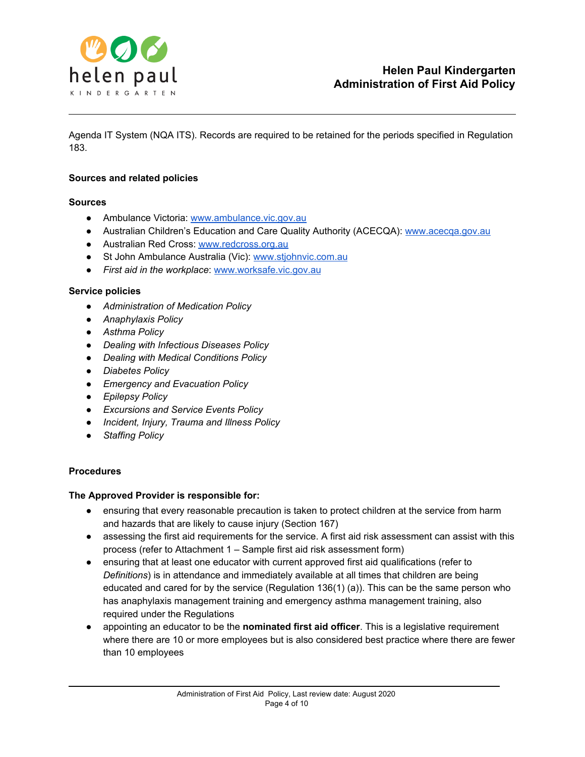

Agenda IT System (NQA ITS). Records are required to be retained for the periods specified in Regulation 183.

#### **Sources and related policies**

#### **Sources**

- Ambulance Victoria: [www.ambulance.vic.gov.au](http://www.ambulance.vic.gov.au/)
- Australian Children's Education and Care Quality Authority (ACECQA): [www.acecqa.gov.au](http://www.acecqa.gov.au/)
- Australian Red Cross: [www.redcross.org.au](http://www.redcross.org.au/)
- St John Ambulance Australia (Vic): [www.stjohnvic.com.au](http://www.stjohnvic.com.au/)
- *First aid in the workplace*[:](http://www.worksafe.vic.gov.au/) [www.worksafe.vic.gov.au](http://www.worksafe.vic.gov.au/)

#### **Service policies**

- *● Administration of Medication Policy*
- *● Anaphylaxis Policy*
- *● Asthma Policy*
- *● Dealing with Infectious Diseases Policy*
- *● Dealing with Medical Conditions Policy*
- *● Diabetes Policy*
- *● Emergency and Evacuation Policy*
- *● Epilepsy Policy*
- *● Excursions and Service Events Policy*
- *● Incident, Injury, Trauma and Illness Policy*
- *● Staffing Policy*

#### **Procedures**

#### **The Approved Provider is responsible for:**

- ensuring that every reasonable precaution is taken to protect children at the service from harm and hazards that are likely to cause injury (Section 167)
- assessing the first aid requirements for the service. A first aid risk assessment can assist with this process (refer to Attachment 1 – Sample first aid risk assessment form)
- ensuring that at least one educator with current approved first aid qualifications (refer to *Definitions*) is in attendance and immediately available at all times that children are being educated and cared for by the service (Regulation 136(1) (a)). This can be the same person who has anaphylaxis management training and emergency asthma management training, also required under the Regulations
- appointing an educator to be the **nominated first aid officer**. This is a legislative requirement where there are 10 or more employees but is also considered best practice where there are fewer than 10 employees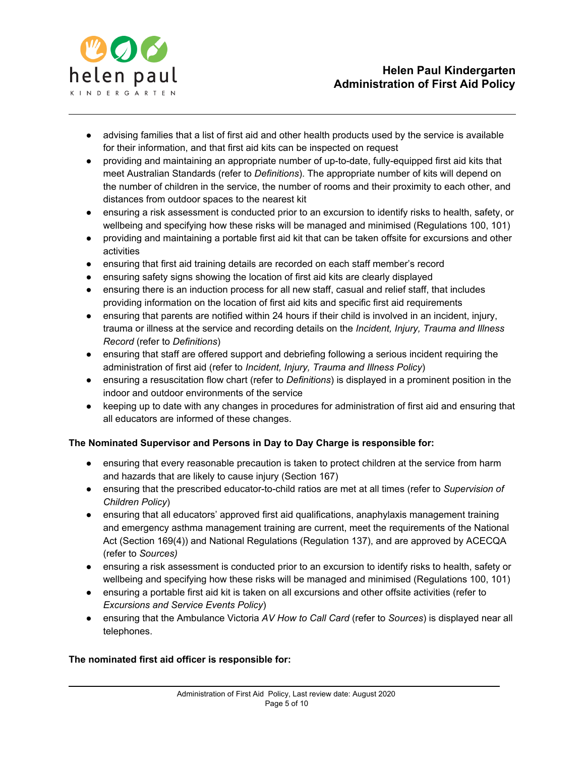

- advising families that a list of first aid and other health products used by the service is available for their information, and that first aid kits can be inspected on request
- providing and maintaining an appropriate number of up-to-date, fully-equipped first aid kits that meet Australian Standards (refer to *Definitions*). The appropriate number of kits will depend on the number of children in the service, the number of rooms and their proximity to each other, and distances from outdoor spaces to the nearest kit
- ensuring a risk assessment is conducted prior to an excursion to identify risks to health, safety, or wellbeing and specifying how these risks will be managed and minimised (Regulations 100, 101)
- providing and maintaining a portable first aid kit that can be taken offsite for excursions and other activities
- ensuring that first aid training details are recorded on each staff member's record
- ensuring safety signs showing the location of first aid kits are clearly displayed
- ensuring there is an induction process for all new staff, casual and relief staff, that includes providing information on the location of first aid kits and specific first aid requirements
- ensuring that parents are notified within 24 hours if their child is involved in an incident, injury, trauma or illness at the service and recording details on the *Incident, Injury, Trauma and Illness Record* (refer to *Definitions*)
- ensuring that staff are offered support and debriefing following a serious incident requiring the administration of first aid (refer to *Incident, Injury, Trauma and Illness Policy*)
- ensuring a resuscitation flow chart (refer to *Definitions*) is displayed in a prominent position in the indoor and outdoor environments of the service
- keeping up to date with any changes in procedures for administration of first aid and ensuring that all educators are informed of these changes.

# **The Nominated Supervisor and Persons in Day to Day Charge is responsible for:**

- ensuring that every reasonable precaution is taken to protect children at the service from harm and hazards that are likely to cause injury (Section 167)
- ensuring that the prescribed educator-to-child ratios are met at all times (refer to *Supervision of Children Policy*)
- ensuring that all educators' approved first aid qualifications, anaphylaxis management training and emergency asthma management training are current, meet the requirements of the National Act (Section 169(4)) and National Regulations (Regulation 137), and are approved by ACECQA (refer to *Sources)*
- ensuring a risk assessment is conducted prior to an excursion to identify risks to health, safety or wellbeing and specifying how these risks will be managed and minimised (Regulations 100, 101)
- ensuring a portable first aid kit is taken on all excursions and other offsite activities (refer to *Excursions and Service Events Policy*)
- ensuring that the Ambulance Victoria *AV How to Call Card* (refer to *Sources*) is displayed near all telephones.

# **The nominated first aid officer is responsible for:**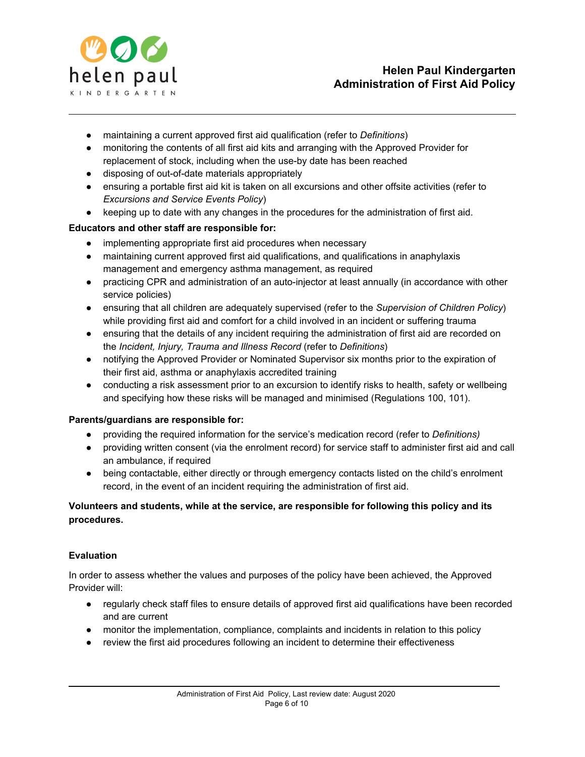

- maintaining a current approved first aid qualification (refer to *Definitions*)
- monitoring the contents of all first aid kits and arranging with the Approved Provider for replacement of stock, including when the use-by date has been reached
- disposing of out-of-date materials appropriately
- ensuring a portable first aid kit is taken on all excursions and other offsite activities (refer to *Excursions and Service Events Policy*)
- keeping up to date with any changes in the procedures for the administration of first aid.

### **Educators and other staff are responsible for:**

- implementing appropriate first aid procedures when necessary
- maintaining current approved first aid qualifications, and qualifications in anaphylaxis management and emergency asthma management, as required
- practicing CPR and administration of an auto-injector at least annually (in accordance with other service policies)
- ensuring that all children are adequately supervised (refer to the *Supervision of Children Policy*) while providing first aid and comfort for a child involved in an incident or suffering trauma
- ensuring that the details of any incident requiring the administration of first aid are recorded on the *Incident, Injury, Trauma and Illness Record* (refer to *Definitions*)
- notifying the Approved Provider or Nominated Supervisor six months prior to the expiration of their first aid, asthma or anaphylaxis accredited training
- conducting a risk assessment prior to an excursion to identify risks to health, safety or wellbeing and specifying how these risks will be managed and minimised (Regulations 100, 101).

#### **Parents/guardians are responsible for:**

- providing the required information for the service's medication record (refer to *Definitions)*
- providing written consent (via the enrolment record) for service staff to administer first aid and call an ambulance, if required
- being contactable, either directly or through emergency contacts listed on the child's enrolment record, in the event of an incident requiring the administration of first aid.

# **Volunteers and students, while at the service, are responsible for following this policy and its procedures.**

#### **Evaluation**

In order to assess whether the values and purposes of the policy have been achieved, the Approved Provider will:

- regularly check staff files to ensure details of approved first aid qualifications have been recorded and are current
- monitor the implementation, compliance, complaints and incidents in relation to this policy
- review the first aid procedures following an incident to determine their effectiveness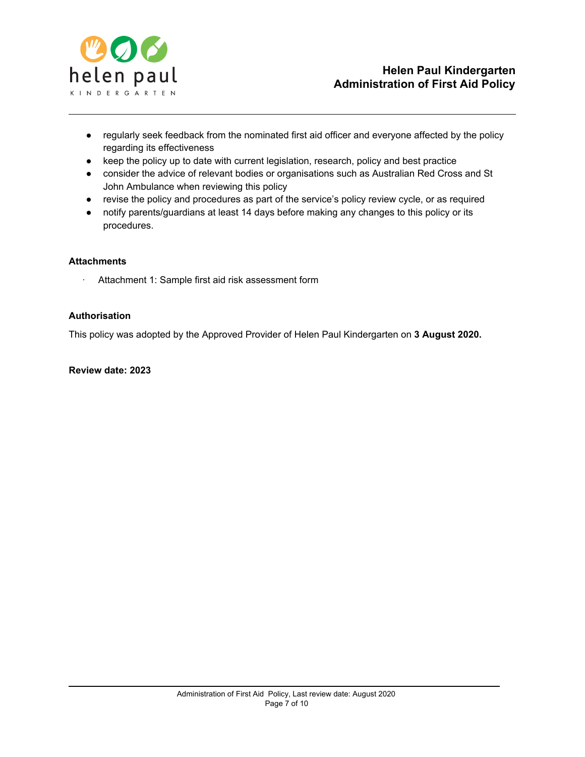

- regularly seek feedback from the nominated first aid officer and everyone affected by the policy regarding its effectiveness
- keep the policy up to date with current legislation, research, policy and best practice
- consider the advice of relevant bodies or organisations such as Australian Red Cross and St John Ambulance when reviewing this policy
- revise the policy and procedures as part of the service's policy review cycle, or as required
- notify parents/guardians at least 14 days before making any changes to this policy or its procedures.

### **Attachments**

Attachment 1: Sample first aid risk assessment form

### **Authorisation**

This policy was adopted by the Approved Provider of Helen Paul Kindergarten on **3 August 2020.**

# **Review date: 2023**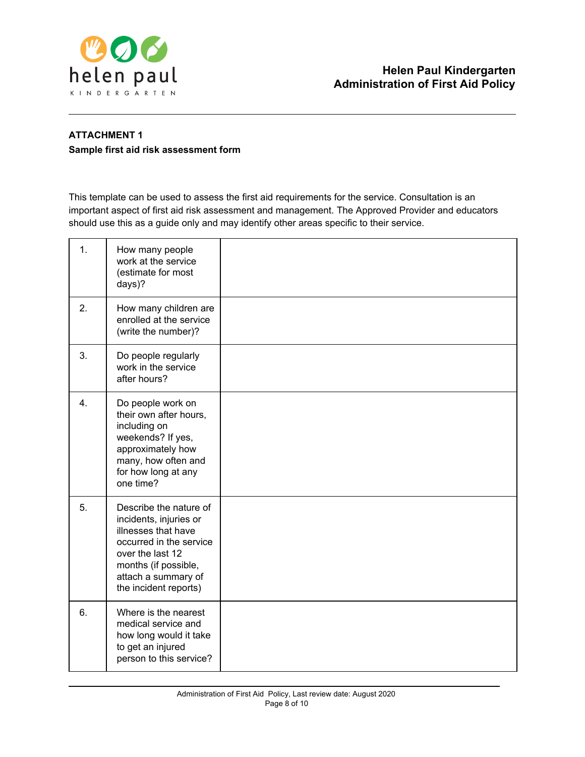

# **ATTACHMENT 1 Sample first aid risk assessment form**

This template can be used to assess the first aid requirements for the service. Consultation is an important aspect of first aid risk assessment and management. The Approved Provider and educators should use this as a guide only and may identify other areas specific to their service.

| 1. | How many people<br>work at the service<br>(estimate for most<br>days)?                                                                                                                         |  |
|----|------------------------------------------------------------------------------------------------------------------------------------------------------------------------------------------------|--|
| 2. | How many children are<br>enrolled at the service<br>(write the number)?                                                                                                                        |  |
| 3. | Do people regularly<br>work in the service<br>after hours?                                                                                                                                     |  |
| 4. | Do people work on<br>their own after hours,<br>including on<br>weekends? If yes,<br>approximately how<br>many, how often and<br>for how long at any<br>one time?                               |  |
| 5. | Describe the nature of<br>incidents, injuries or<br>illnesses that have<br>occurred in the service<br>over the last 12<br>months (if possible,<br>attach a summary of<br>the incident reports) |  |
| 6. | Where is the nearest<br>medical service and<br>how long would it take<br>to get an injured<br>person to this service?                                                                          |  |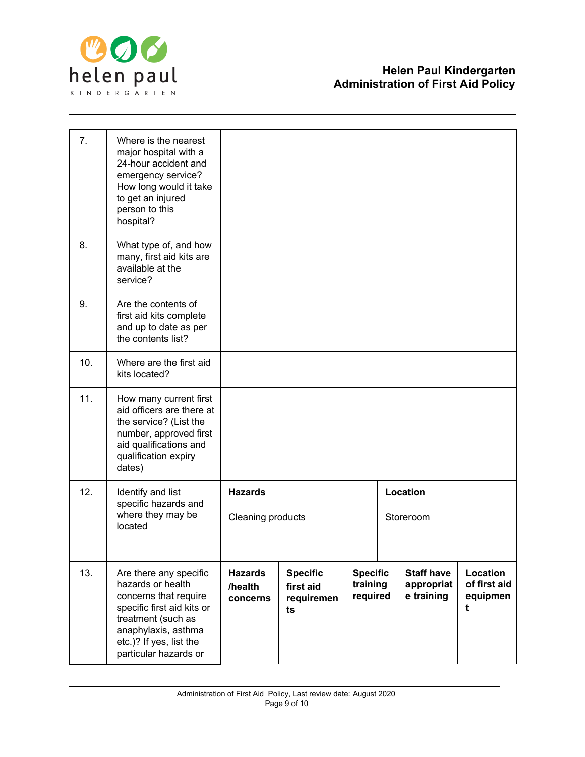

| 7.  | Where is the nearest<br>major hospital with a<br>24-hour accident and<br>emergency service?<br>How long would it take<br>to get an injured<br>person to this<br>hospital?                           |                                       |                                                  |                                         |                                               |                                           |
|-----|-----------------------------------------------------------------------------------------------------------------------------------------------------------------------------------------------------|---------------------------------------|--------------------------------------------------|-----------------------------------------|-----------------------------------------------|-------------------------------------------|
| 8.  | What type of, and how<br>many, first aid kits are<br>available at the<br>service?                                                                                                                   |                                       |                                                  |                                         |                                               |                                           |
| 9.  | Are the contents of<br>first aid kits complete<br>and up to date as per<br>the contents list?                                                                                                       |                                       |                                                  |                                         |                                               |                                           |
| 10. | Where are the first aid<br>kits located?                                                                                                                                                            |                                       |                                                  |                                         |                                               |                                           |
| 11. | How many current first<br>aid officers are there at<br>the service? (List the<br>number, approved first<br>aid qualifications and<br>qualification expiry<br>dates)                                 |                                       |                                                  |                                         |                                               |                                           |
| 12. | Identify and list<br>specific hazards and<br>where they may be<br>located                                                                                                                           | <b>Hazards</b><br>Cleaning products   |                                                  |                                         | Location<br>Storeroom                         |                                           |
| 13. | Are there any specific<br>hazards or health<br>concerns that require<br>specific first aid kits or<br>treatment (such as<br>anaphylaxis, asthma<br>etc.)? If yes, list the<br>particular hazards or | <b>Hazards</b><br>/health<br>concerns | <b>Specific</b><br>first aid<br>requiremen<br>ts | <b>Specific</b><br>training<br>required | <b>Staff have</b><br>appropriat<br>e training | Location<br>of first aid<br>equipmen<br>t |